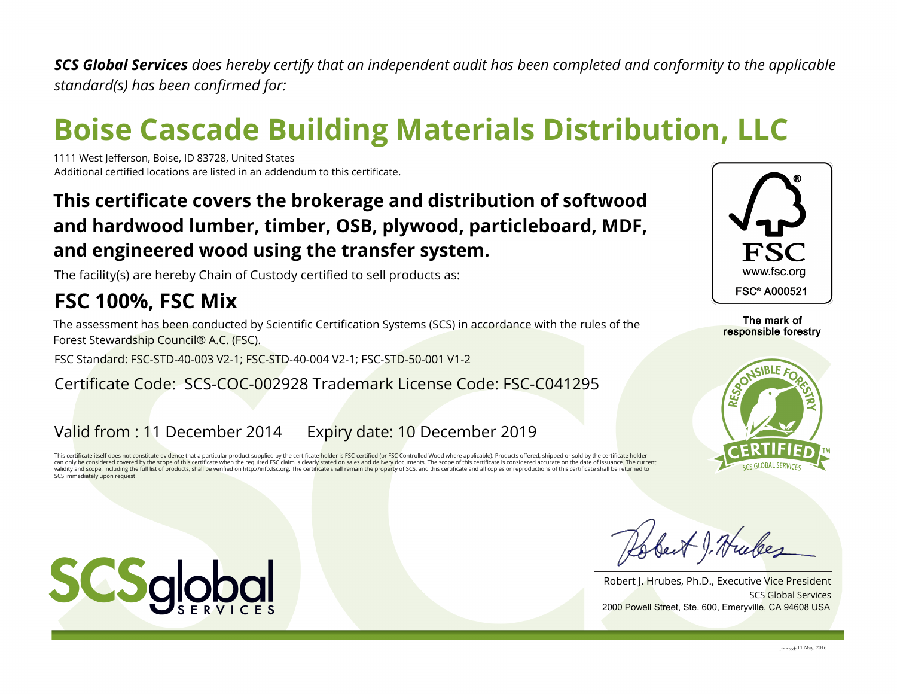*SCS Global Services does hereby certify that an independent audit has been completed and conformity to the applicable standard(s) has been confirmed for:*

# **Boise Cascade Building Materials Distribution, LLC**

1111 West Jefferson, Boise, ID 83728, United States Additional certified locations are listed in an addendum to this certificate.

## **This certificate covers the brokerage and distribution of softwood and hardwood lumber, timber, OSB, plywood, particleboard, MDF, and engineered wood using the transfer system.**

The facility(s) are hereby Chain of Custody certified to sell products as:

# **FSC 100%, FSC Mix**

The assessment has been conducted by Scientific Certification Systems (SCS) in accordance with the rules of the Forest Stewardship Council® A.C. (FSC).

FSC Standard: FSC-STD-40-003 V2-1; FSC-STD-40-004 V2-1; FSC-STD-50-001 V1-2

#### Certificate Code: SCS-COC-002928 Trademark License Code: FSC-C041295

### Valid from : 11 December 2014 Expiry date: 10 December 2019

This certificate itself does not constitute evidence that a particular product supplied by the certificate holder is FSC-certified (or FSC Controlled Wood where applicable). Products offered, shipped or sold by the certifi can only be considered covered by the scope of this certificate when the required FSC claim is clearly stated on sales and delivery documents. The scope of this certificate is considered accurate on the date of issuance. T validity and scope, including the full list of products, shall be verified on http://info.fsc.org. The certificate shall remain the property of SCS, and this certificate and all copies or reproductions of this certificate SCS immediately upon request.



The mark of responsible forestry



best J. Hubes

SCS Global Services Robert J. Hrubes, Ph.D., Executive Vice President 2000 Powell Street, Ste. 600, Emeryville, CA 94608 USA